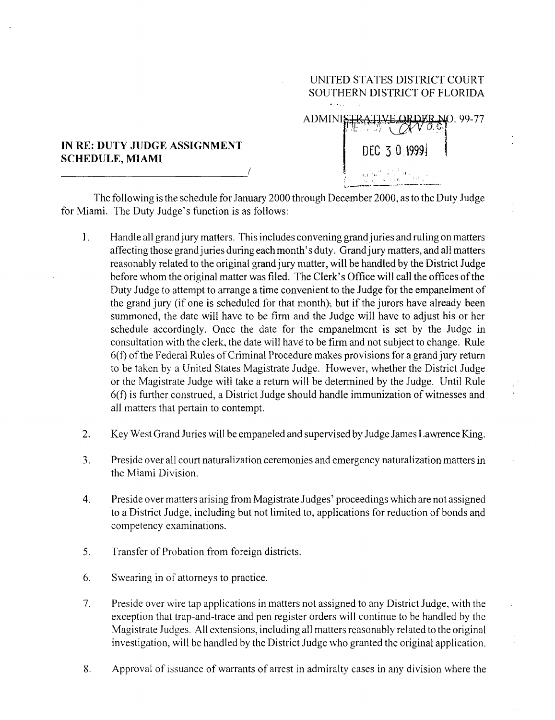## **IN RE:** DUTY JUDGE ASSIGNMENT IN RE: DUTY JUDGE ASSIGNMENT<br>SCHEDULE, MIAMI

SOUTHERN DISTRICT OF FLORIDA ADMINI **.99-7 <sup>7</sup>**  $\sqrt{\alpha}$ 

UNITED STATES DISTRICT COURT

The following is the schedule for January 2000 through December 2000, as to the Duty Judge for Miami. The Duty Judge's function is as follows:

- $\mathbf{1}$ . Handle all grand jury matters. This includes convening grand juries and ruling on matters affecting those grand juries during each month's duty. Grand jury matters, and all matters reasonably related to the original grand jury matter, will be handled by the District Judge before whom the original matter was filed. The Clerk's Office will call the offices of the Duty Judge to attempt to arrange a time convenient to the Judge for the empanelment of the grand jury (if one is scheduled for that month); but if the jurors have already been summoned, the date will have to be firm and the Judge will have to adjust his or her schedule accordingly. Once the date for the empanelment is set by the Judge in consultation with the clerk, the date will have to be firm and not subject to change . Rule 6(f) of the Federal Rules of Criminal Procedure makes provisions for a grand jury return to be taken by a United States Magistrate Judge . However, whether the District Judge or the Magistrate Judge will take a return will be determined by the Judge . Until Rule 6(f) is further construed, a District Judge should handle immunization of witnesses and all matters that pertain to contempt.
- 2 . Key West Grand **Juries will be empaneled and supervised** by Judge **James Lawrence King .**
- <sup>3</sup> . Preside over all court naturalization ceremonies and emergency naturalization matters in the Miami Division.
- 4. Preside over matters arising from Magistrate Judges' proceedings which are not assigned to a District Judge, including but not limited to, applications for reduction of bonds and competency examinations.
- 5. Transfer of Probation from foreign districts.
- 6. Swearing in of attorneys to practice .
- 7. Preside over wire tap applications in matters not assigned to any District Judge, with the exception that trap-and-trace and pen register orders will continue to be handled by the Magistrate Judges . All extensions, including all matters reasonably related to the original investigation, will be handled by the District Judge who granted the original application.
- <sup>8</sup> . Approval of issuance of warrants of arrest in admiralty cases in any division where the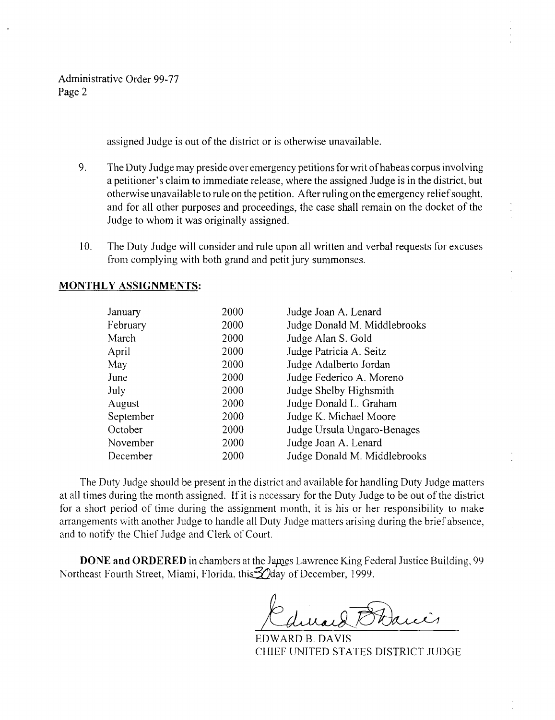**Administrative** Order 99-77 **Page 2**

**assigned Judge is out of the district or is otherwise unavailable .**

- **9 . The Duty Judge may preside over emergency petitions for writ of habeas corpus involving** a petitioner's claim to immediate release, where the assigned Judge is in the district, but **otherwise unavailable to rule on the petition** . **After ruling on the emergency relief sought, and for all other purposes and proceedings**, **the case shall remain on the docket of the Judge to whom it was originally assigned .**
- <sup>10</sup> . The Duty Judge **will consider and rule upon all written and** verbal **requests** for excuses from complying with both grand and petit jury **summonses.**

## **MONTHLY ASSIGNMENTS :**

| January   | 2000 | Judge Joan A. Lenard         |
|-----------|------|------------------------------|
| February  | 2000 | Judge Donald M. Middlebrooks |
| March     | 2000 | Judge Alan S. Gold           |
| April     | 2000 | Judge Patricia A. Seitz      |
| May       | 2000 | Judge Adalberto Jordan       |
| June      | 2000 | Judge Federico A. Moreno     |
| July      | 2000 | Judge Shelby Highsmith       |
| August    | 2000 | Judge Donald L. Graham       |
| September | 2000 | Judge K. Michael Moore       |
| October   | 2000 | Judge Ursula Ungaro-Benages  |
| November  | 2000 | Judge Joan A. Lenard         |
| December  | 2000 | Judge Donald M. Middlebrooks |

**The Duty Judge should be present in the district and available for handling Duty Judge matters at all times during the month assigned** . **If it is necessa** ry **for the Duty Judge to be out of the district for a short period of time during the assignment month, it is his or her responsibility to make arrangements with another Judge to handle all Duty Judge matters arising during the brief absence,** and to notify the Chief Judge and Clerk of Court.

**DONE and ORDERED** in chambers at the James Lawrence King Federal Justice Building, 99 Northeast Fourth Street, Miami, Florida, this. 20day of December, 1999.

EDWARD B. DAVIS CHIEF UNITED STATES DISTRICT JUDGE